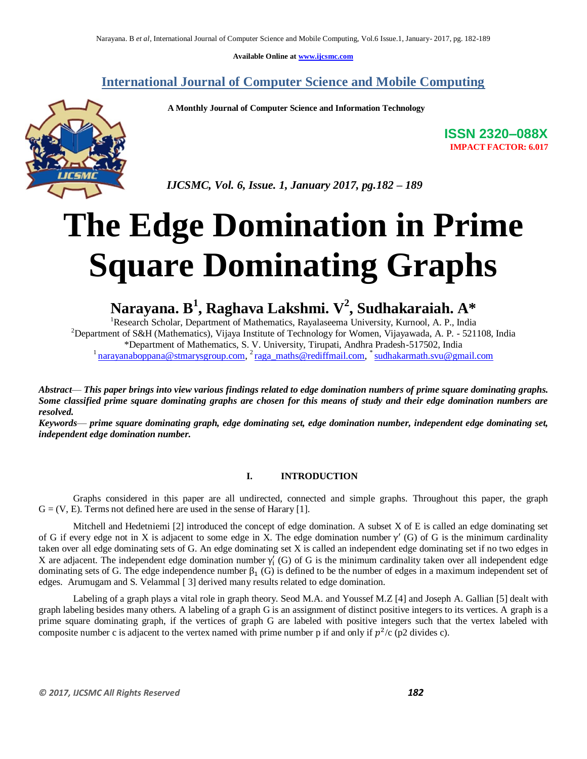**Available Online at www.ijcsmc.com**

### **International Journal of Computer Science and Mobile Computing**

 **A Monthly Journal of Computer Science and Information Technology**



**ISSN 2320–088X IMPACT FACTOR: 6.017**

 *IJCSMC, Vol. 6, Issue. 1, January 2017, pg.182 – 189*

# **The Edge Domination in Prime Square Dominating Graphs**

**Narayana. B<sup>1</sup> , Raghava Lakshmi. V<sup>2</sup> , Sudhakaraiah. A\***

<sup>1</sup>Research Scholar, Department of Mathematics, Rayalaseema University, Kurnool, A. P., India <sup>2</sup>Department of S&H (Mathematics), Vijaya Institute of Technology for Women, Vijayawada, A. P. - 521108, India \*Department of Mathematics, S. V. University, Tirupati, Andhra Pradesh-517502, India <sup>1</sup> narayanaboppana@stmarysgroup.com, <sup>2</sup> raga\_maths@rediffmail.com, <sup>\*</sup> sudhakarmath.svu@gmail.com

*Abstract*— *This paper brings into view various findings related to edge domination numbers of prime square dominating graphs. Some classified prime square dominating graphs are chosen for this means of study and their edge domination numbers are resolved.*

*Keywords*— *prime square dominating graph, edge dominating set, edge domination number, independent edge dominating set, independent edge domination number.*

#### **I. INTRODUCTION**

Graphs considered in this paper are all undirected, connected and simple graphs. Throughout this paper, the graph  $G = (V, E)$ . Terms not defined here are used in the sense of Harary [1].

Mitchell and Hedetniemi [2] introduced the concept of edge domination. A subset X of E is called an edge dominating set of G if every edge not in X is adjacent to some edge in X. The edge domination number  $\gamma'$  (G) of G is the minimum cardinality taken over all edge dominating sets of G. An edge dominating set X is called an independent edge dominating set if no two edges in X are adjacent. The independent edge domination number  $\gamma'_{i}$  (G) of G is the minimum cardinality taken over all independent edge dominating sets of G. The edge independence number  $\beta_1$  (G) is defined to be the number of edges in a maximum independent set of edges. Arumugam and S. Velammal [ 3] derived many results related to edge domination.

Labeling of a graph plays a vital role in graph theory. Seod M.A. and Youssef M.Z [4] and Joseph A. Gallian [5] dealt with graph labeling besides many others. A labeling of a graph G is an assignment of distinct positive integers to its vertices. A graph is a prime square dominating graph, if the vertices of graph G are labeled with positive integers such that the vertex labeled with composite number c is adjacent to the vertex named with prime number p if and only if  $p^2/c$  (p2 divides c).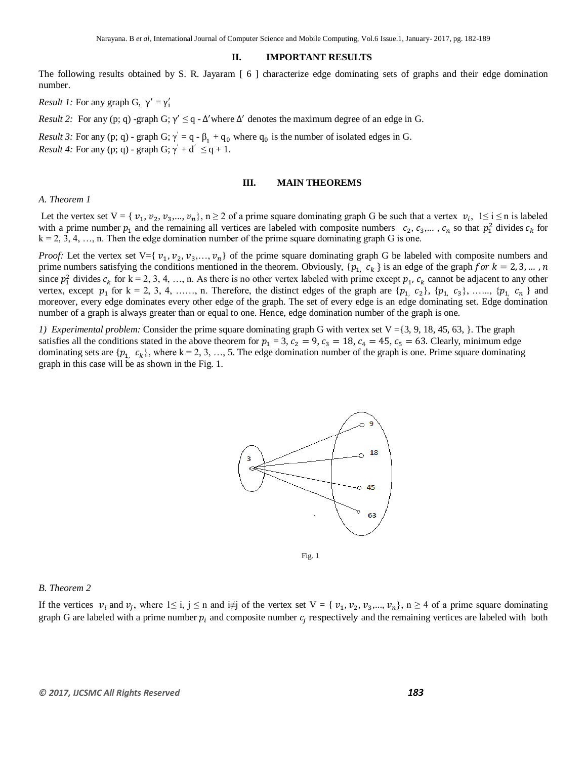#### **II. IMPORTANT RESULTS**

The following results obtained by S. R. Jayaram [ 6 ] characterize edge dominating sets of graphs and their edge domination number.

*Result 1:* For any graph G,  $\gamma' = \gamma'_i$ 

*Result 2:* For any (p; q) -graph G;  $\gamma' \leq q$  -  $\Delta'$  where  $\Delta'$  denotes the maximum degree of an edge in G.

*Result 3:* For any (p; q) - graph G;  $\gamma' = q - \beta_1 + q_0$  where  $q_0$  is the number of isolated edges in G. *Result 4:* For any (p; q) - graph G;  $\gamma' + d' \leq q + 1$ .

#### **III. MAIN THEOREMS**

#### *A. Theorem 1*

Let the vertex set  $V = \{v_1, v_2, v_3, ..., v_n\}$ ,  $n \ge 2$  of a prime square dominating graph G be such that a vertex  $v_i$ ,  $1 \le i \le n$  is labeled with a prime number  $p_1$  and the remaining all vertices are labeled with composite numbers  $c_2, c_3,..., c_n$  so that  $p_1^2$  divides  $c_k$  for  $k = 2, 3, 4, \ldots$ , n. Then the edge domination number of the prime square dominating graph G is one.

*Proof:* Let the vertex set  $V = \{v_1, v_2, v_3, \ldots, v_n\}$  of the prime square dominating graph G be labeled with composite numbers and prime numbers satisfying the conditions mentioned in the theorem. Obviously,  $\{p_1, c_k\}$  is an edge of the graph since  $p_1^2$  divides  $c_k$  for  $k = 2, 3, 4, ..., n$ . As there is no other vertex labeled with prime except  $p_1, c_k$  cannot be adjacent to any other vertex, except  $p_1$  for  $k = 2, 3, 4, \ldots$ , n. Therefore, the distinct edges of the graph are  $\{p_1, c_2\}, \{p_1, c_3\}, \ldots, \{p_1, c_n\}$  and moreover, every edge dominates every other edge of the graph. The set of every edge is an edge dominating set. Edge domination number of a graph is always greater than or equal to one. Hence, edge domination number of the graph is one.

*1) Experimental problem:* Consider the prime square dominating graph G with vertex set V ={3, 9, 18, 45, 63, }. The graph satisfies all the conditions stated in the above theorem for  $p_1 = 3$ ,  $c_2 = 9$ ,  $c_3 = 18$ ,  $c_4 = 45$ ,  $c_5 = 63$ . Clearly, minimum edge dominating sets are  $\{p_1, c_k\}$ , where  $k = 2, 3, ..., 5$ . The edge domination number of the graph is one. Prime square dominating graph in this case will be as shown in the Fig. 1.



Fig. 1

#### *B. Theorem 2*

If the vertices  $v_i$  and  $v_j$ , where  $1 \le i, j \le n$  and  $i \ne j$  of the vertex set  $V = \{v_1, v_2, v_3, ..., v_n\}$ ,  $n \ge 4$  of a prime square dominating graph G are labeled with a prime number  $p_i$  and composite number  $c_i$  respectively and the remaining vertices are labeled with both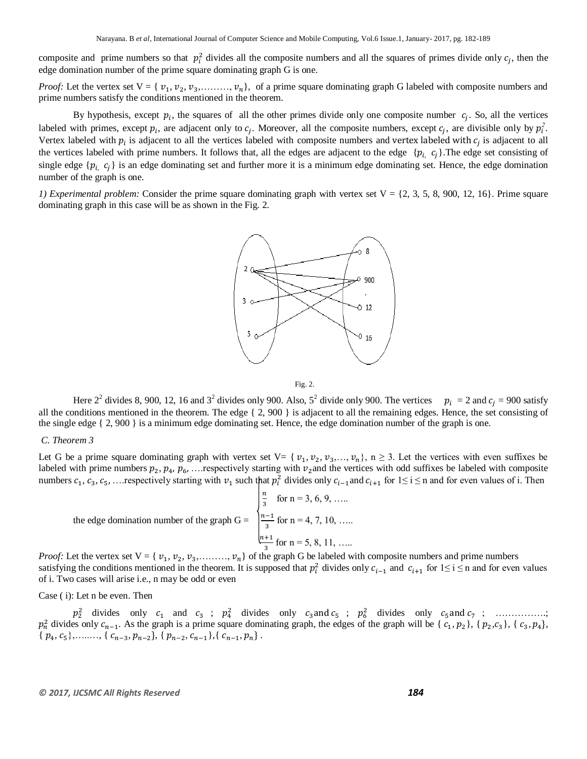composite and prime numbers so that  $p_i^2$  divides all the composite numbers and all the squares of primes divide only  $c_i$ , then the edge domination number of the prime square dominating graph G is one.

*Proof:* Let the vertex set  $V = \{v_1, v_2, v_3, \dots, v_n\}$ , of a prime square dominating graph G labeled with composite numbers and prime numbers satisfy the conditions mentioned in the theorem.

By hypothesis, except  $p_i$ , the squares of all the other primes divide only one composite number  $c_i$ . So, all the vertices labeled with primes, except  $p_i$ , are adjacent only to  $c_i$ . Moreover, all the composite numbers, except  $c_i$ , are divisible only by  $p_i^2$ . Vertex labeled with  $p_i$  is adjacent to all the vertices labeled with composite numbers and vertex labeled with  $c_i$  is adjacent to all the vertices labeled with prime numbers. It follows that, all the edges are adjacent to the edge  $\{p_{i, c_j}\}\$ . The edge set consisting of single edge  $\{p_i, c_j\}$  is an edge dominating set and further more it is a minimum edge dominating set. Hence, the edge domination number of the graph is one.

*1) Experimental problem:* Consider the prime square dominating graph with vertex set  $V = \{2, 3, 5, 8, 900, 12, 16\}$ . Prime square dominating graph in this case will be as shown in the Fig. 2.



Fig. 2.

Here  $2^2$  divides 8, 900, 12, 16 and  $3^2$  divides only 900. Also,  $5^2$  divide only 900. The vertices  $p_i = 2$  and  $c_i = 900$  satisfy all the conditions mentioned in the theorem. The edge  $\{2, 900\}$  is adjacent to all the remaining edges. Hence, the set consisting of the single edge { 2, 900 } is a minimum edge dominating set. Hence, the edge domination number of the graph is one.

#### *C. Theorem 3*

Let G be a prime square dominating graph with vertex set V= { $v_1, v_2, v_3, ..., v_n$ }, n  $\geq$  3. Let the vertices with even suffixes be labeled with prime numbers  $p_2, p_4, p_6, \ldots$  respectively starting with  $v_2$  and the vertices with odd suffixes be labeled with composite numbers  $c_1, c_3, c_5, \ldots$  respectively starting with  $v_1$  such that  $p_i^2$  divides only  $c_{i-1}$  and  $c_{i+1}$  for  $1 \le i \le n$  and for even values of i. Then

|                                                                                          | $\frac{n}{3}$ for n = 3, 6, 9,      |
|------------------------------------------------------------------------------------------|-------------------------------------|
| the edge domination number of the graph G = $\int_{0}^{\frac{\pi}{4}}$ for n = 4, 7, 10, |                                     |
|                                                                                          | $\frac{\ln+1}{2}$ for n = 5, 8, 11, |

*Proof:* Let the vertex set  $V = \{v_1, v_2, v_3, \dots, v_n\}$  of the graph G be labeled with composite numbers and prime numbers satisfying the conditions mentioned in the theorem. It is supposed that  $p_i^2$  divides only  $c_{i-1}$  and  $c_{i+1}$  for  $1 \le i \le n$  and for even values of i. Two cases will arise i.e., n may be odd or even

#### Case ( i): Let n be even. Then

 $p_2^2$  divides only  $c_1$  and  $c_3$ ;  $p_4^2$  divides only  $c_3$  and  $c_5$ ;  $p_6^2$  divides only  $c_5$  and  $c_7$ ; ..................  $p_n^2$  divides only  $c_{n-1}$ . As the graph is a prime square dominating graph, the edges of the graph will be {  $c_1, p_2$ }, {  $p_2, c_3$ }, {  $c_3, p_4$ },  $\{p_4, c_5\}, \ldots \ldots \; \{c_{n-3}, p_{n-2}\}, \{p_{n-2}, c_{n-1}\}, \{c_{n-1}, p_n\}.$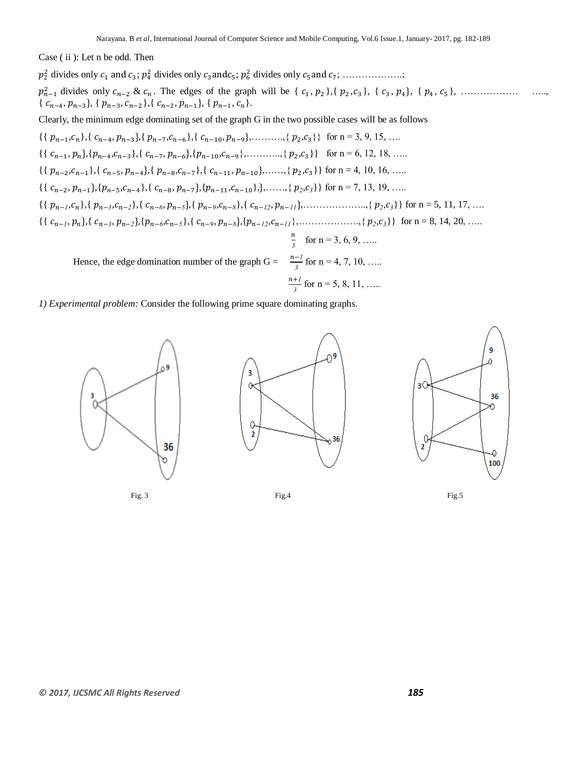Case ( ii ): Let n be odd. Then

 divides only ; divides only ; divides only ; ……………….; divides only & . The edges of the graph will be { , },{ , }, { , , { , }, ……………… …..,  $\{c_{n-4}, p_{n-3}\}, \{p_{n-3}, c_{n-2}\}, \{c_{n-2}, p_{n-1}\}, \{p_{n-1}, c_n\}.$ Clearly, the minimum edge dominating set of the graph G in the two possible cases will be as follows  $\{ \{ p_{n-1}, c_n \}, \{ c_{n-4}, p_{n-3} \}, \{ p_{n-7}, c_{n-6} \}, \{ c_{n-10}, p_{n-9} \}, \dots, \{ p_2, c_3 \} \}$  for n = 3, 9, 15, ...  $\{ \{c_{n-1}, p_n\}, \{p_{n-4}, c_{n-3}\}, \{c_{n-7}, p_{n-6}\}, \{p_{n-10}, c_{n-9}\}, \dots, \{p_2, c_3\} \}$  for  $n = 6, 12, 18, \dots$  $\{ \{ p_{n-2}, c_{n-1} \}, \{ c_{n-5}, p_{n-4} \}, \{ p_{n-8}, c_{n-7} \}, \{ c_{n-11}, p_{n-10} \}, \ldots, \{ p_2, c_3 \} \}$  for n = 4, 10, 16, ….  $\{ \{c_{n-2}, p_{n-1}\}, \{p_{n-5}, c_{n-4}\}, \{c_{n-8}, p_{n-7}\}, \{p_{n-11}, c_{n-10}\}, \}$ ,...,  $\{p_2, c_3\}$  for n = 7, 13, 19, ...  $\{ \{ p_{n-1}, c_n \}, \{ p_{n-3}, c_{n-2} \}, \{ c_{n-6}, p_{n-5} \}, \{ p_{n-9}, c_{n-8} \}, \{ c_{n-12}, p_{n-11} \}, \dots \dots \dots \dots \dots \{ p_2, c_3 \} \}$  for n = 5, 11, 17, ...  $\{ \{c_{n-1}, p_n\}, \{c_{n-3}, p_{n-2}\}, \{p_{n-6}, c_{n-5}\}, \{c_{n-9}, p_{n-8}\}, \{p_{n-1,2}, c_{n-1,1}\}, \dots \dots \dots \dots \dots \dots \{p_2, c_3\} \}$  for n = 8, 14, 20, ... n  $\frac{n}{3}$  for n = 3, 6, 9, ..... Hence, the edge domination number of the graph  $G = \frac{n-1}{3}$  for  $n = 4, 7, 10, \ldots$ n  $\frac{+1}{3}$  for n = 5, 8, 11, .....

*1) Experimental problem:* Consider the following prime square dominating graphs.



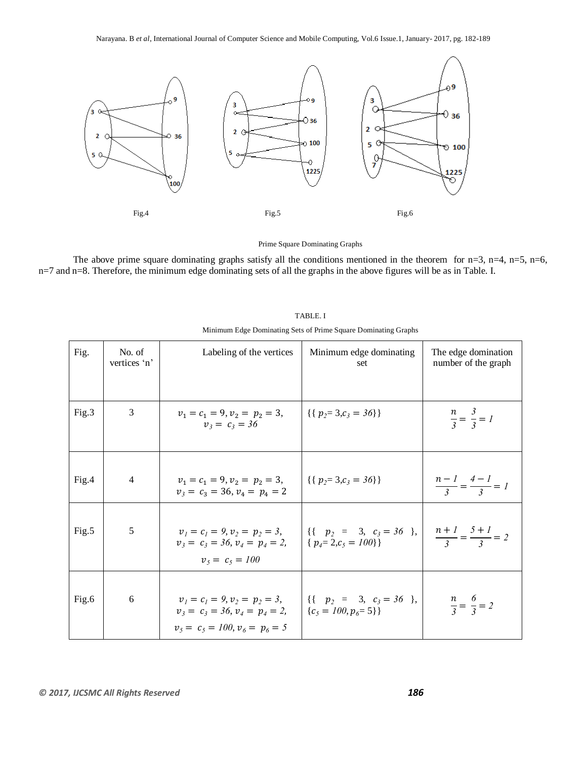

Prime Square Dominating Graphs

The above prime square dominating graphs satisfy all the conditions mentioned in the theorem for  $n=3$ ,  $n=4$ ,  $n=5$ ,  $n=6$ , n=7 and n=8. Therefore, the minimum edge dominating sets of all the graphs in the above figures will be as in Table. I.

| Fig.  | No. of<br>vertices 'n' | Labeling of the vertices                                                                               | Minimum edge dominating<br>set                                                                                                                                                               | The edge domination<br>number of the graph |
|-------|------------------------|--------------------------------------------------------------------------------------------------------|----------------------------------------------------------------------------------------------------------------------------------------------------------------------------------------------|--------------------------------------------|
| Fig.3 | 3                      | $v_1 = c_1 = 9, v_2 = p_2 = 3,$<br>$v_3 = c_3 = 36$                                                    | $\{ \{ p_2 = 3, c_3 = 36 \} \}$                                                                                                                                                              | $\frac{n}{3} = \frac{3}{3} = 1$            |
| Fig.4 | $\overline{4}$         | $v_1 = c_1 = 9, v_2 = p_2 = 3,$<br>$v_3 = c_3 = 36, v_4 = p_4 = 2$                                     | $\{ \{ p_2 = 3, c_3 = 36 \} \}$                                                                                                                                                              | $\frac{n-1}{3} = \frac{4-1}{3} = 1$        |
| Fig.5 | 5                      | $v_1 = c_1 = 9, v_2 = p_2 = 3,$<br>$v_3 = c_3 = 36, v_4 = p_4 = 2$<br>$v_5 = c_5 = 100$                | $\left[\begin{array}{cc} {\left\{ \left\{ \begin{array}{rcl} p_2 & = & 3, & c_3 = 36 \end{array} \right\}, & \frac{n+1}{3} = \frac{5+1}{3} = 2 \end{array} \right]$<br>$\{p_4=2,c_5=100\}\}$ |                                            |
| Fig.6 | 6                      | $v_1 = c_1 = 9, v_2 = p_2 = 3,$<br>$v_3 = c_3 = 36, v_4 = p_4 = 2$<br>$v_5 = c_5 = 100, v_6 = p_6 = 5$ | $\left  \begin{array}{cccc} {\{ \{ \quad p_2 = 3, \ c_3 = 36 \} \end{array} \right } \right $<br>${c_5 = 100, p_6 = 5}$                                                                      | $\frac{n}{3} = \frac{6}{3} = 2$            |

|  |  |  | TABLE. I |  |     |    |  |
|--|--|--|----------|--|-----|----|--|
|  |  |  |          |  | . . | -- |  |

Minimum Edge Dominating Sets of Prime Square Dominating Graphs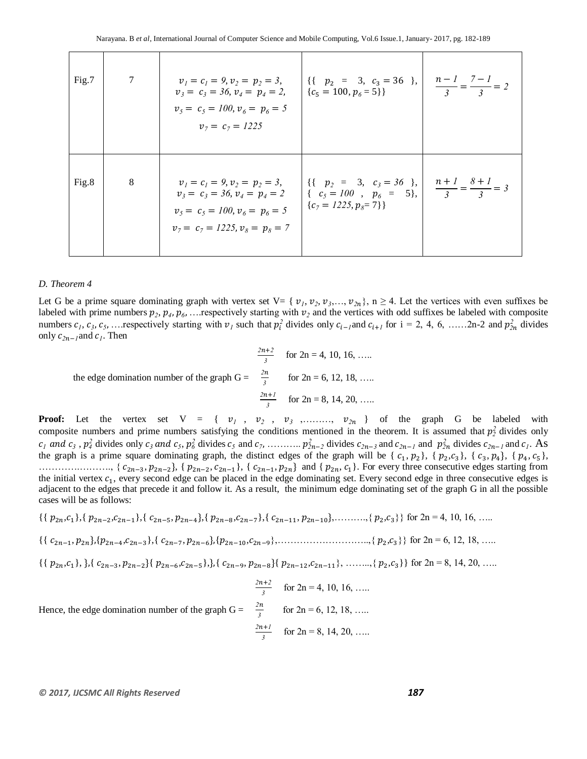| Fig.7 | 7       | $v_1 = c_1 = 9, v_2 = p_2 = 3,$<br>$v_3 = c_3 = 36, v_4 = p_4 = 2,$ $\{c_5 = 100, p_6 = 5\}\}$<br>$v_5 = c_5 = 100, v_6 = p_6 = 5$<br>$v_7 = c_7 = 1225$ | $\begin{array}{ c c c c c c } \hline \{ \{ & p_2 = & 3, & c_3 = 36 \} \ \{c_5 = 100, p_6 = 5 \} \hline \end{array}$ $\begin{array}{ c c c c c c c } \hline n - 1 & -7 - 1 \ \hline 3 & = & 3 \end{array}$ |  |
|-------|---------|----------------------------------------------------------------------------------------------------------------------------------------------------------|-----------------------------------------------------------------------------------------------------------------------------------------------------------------------------------------------------------|--|
| Fig.8 | $\,8\,$ | $v_1 = c_1 = 9, v_2 = p_2 = 3,$<br>$v_3 = c_3 = 36, v_4 = p_4 = 2$<br>$v_5 = c_5 = 100, v_6 = p_6 = 5$<br>$v_7 = c_7 = 1225, v_8 = p_8 = 7$              | $\begin{vmatrix} \{\{ & p_2 = 3, & c_3 = 36 \} \ \{ & c_5 = 100, & p_6 = 5 \} \end{vmatrix}$ , $\begin{vmatrix} n+1 \ \frac{3}{3} = \frac{8+1}{3} = 3 \end{vmatrix}$<br>${c_7 = 1225, p_8 = 7}$           |  |

#### *D. Theorem 4*

Let G be a prime square dominating graph with vertex set V= { $v_1, v_2, v_3, ..., v_{2n}$ }, n  $\geq$  4. Let the vertices with even suffixes be labeled with prime numbers  $p_2, p_4, p_6, \ldots$  respectively starting with  $v_2$  and the vertices with odd suffixes be labeled with composite numbers  $c_1, c_3, c_5, \ldots$  respectively starting with  $v_1$  such that  $p_i^2$  divides only  $c_{i-1}$  and  $c_{i+1}$  for  $i = 2, 4, 6, \ldots, 2n-2$  and  $p_{2n}^2$  divides only  $c_{2n-1}$  and  $c_1$ . Then

$$
\frac{2n+2}{3} \quad \text{for } 2n = 4, 10, 16, \dots
$$
  
the edge domination number of the graph G =  $\frac{2n}{3}$  for  $2n = 6, 12, 18, \dots$   

$$
\frac{2n+1}{3} \quad \text{for } 2n = 8, 14, 20, \dots
$$

**Proof:** Let the vertex set  $V = \{v_1, v_2, v_3, \dots, v_{2n}\}$  of the graph G be labeled with composite numbers and prime numbers satisfying the conditions mentioned in the theorem. It is assumed that  $p_2^2$  divides only  $c_1$  and  $c_3$ ,  $p_4$  divides only  $c_3$  and  $c_5$ ,  $p_6$  divides  $c_5$  and  $c_7$ , ...........  $p_{2n-2}^2$  divides  $c_{2n-3}$  and  $c_{2n-1}$  and  $p_{2n}^2$  divides  $c_{2n-1}$  and  $c_1$ . As the graph is a prime square dominating graph, the distinct edges of the graph will be {  $c_1$ ,  $p_2$ }, {  $p_2$ ,  $c_3$ }, {  $c_3$ ,  $p_4$ }, {  $p_4$ ,  $c_5$ }, ………….………., { , , { , }, { , and { , }. For every three consecutive edges starting from the initial vertex  $c_1$ , every second edge can be placed in the edge dominating set. Every second edge in three consecutive edges is adjacent to the edges that precede it and follow it. As a result, the minimum edge dominating set of the graph G in all the possible cases will be as follows:

$$
\{\{p_{2n},c_1\},\{p_{2n-2},c_{2n-1}\},\{c_{2n-5},p_{2n-4}\},\{p_{2n-8},c_{2n-7}\},\{c_{2n-11},p_{2n-10}\},\ldots\ldots\ldots\{p_2,c_3\}\}\
$$
for  $2n=4, 10, 16, \ldots$ 

 $\{ \{c_{2n-1}, p_{2n}\}, \{p_{2n-4}, c_{2n-3}\}, \{c_{2n-7}, p_{2n-6}\}, \{p_{2n-10}, c_{2n-9}\}, \dots \dots \dots \dots \dots \dots \dots \{p_2, c_3\} \}$  for  $2n = 6, 12, 18, \dots$ 

- $\{ \{p_{2n}, c_1\}, \} \{ \{c_{2n-3}, p_{2n-2}\} \{p_{2n-6}, c_{2n-5}\}, \} \{ \{c_{2n-9}, p_{2n-8}\} \{p_{2n-12}, c_{2n-11}\}, \ldots, \{p_2, c_3\} \}$  for  $2n = 8, 14, 20, \ldots$
- $\frac{172}{3}$  for 2n = 4, 10, 16, ..... Hence, the edge domination number of the graph  $G =$  $\frac{n}{3}$  for 2n = 6, 12, 18, .....   $\frac{n+1}{3}$  for 2n = 8, 14, 20, .....

#### *© 2017, IJCSMC All Rights Reserved 187*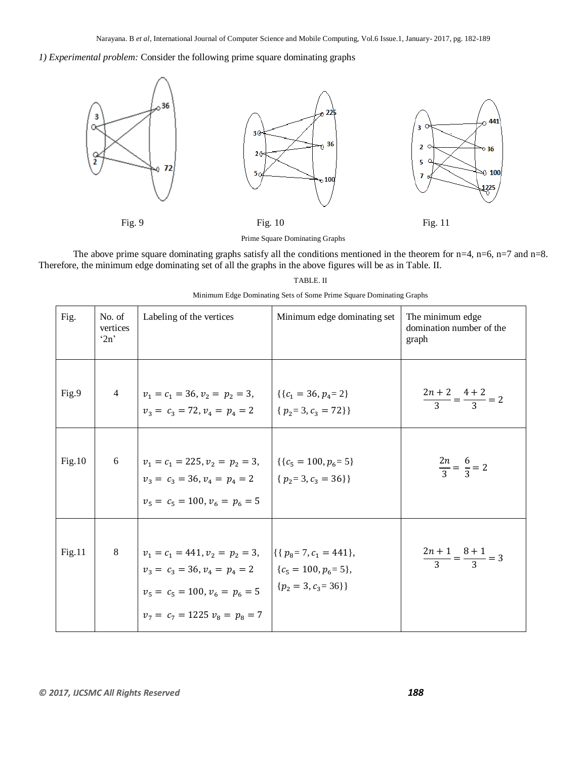*1) Experimental problem:* Consider the following prime square dominating graphs



Prime Square Dominating Graphs

The above prime square dominating graphs satisfy all the conditions mentioned in the theorem for  $n=4$ ,  $n=6$ ,  $n=7$  and  $n=8$ . Therefore, the minimum edge dominating set of all the graphs in the above figures will be as in Table. II.

| Minimum Edge Dominating Sets of Some Prime Square Dominating Graphs |  |  |
|---------------------------------------------------------------------|--|--|
|                                                                     |  |  |

| Fig.   | No. of<br>vertices<br>2n | Labeling of the vertices                                                                                                                                                                                   | Minimum edge dominating set | The minimum edge<br>domination number of the<br>graph |
|--------|--------------------------|------------------------------------------------------------------------------------------------------------------------------------------------------------------------------------------------------------|-----------------------------|-------------------------------------------------------|
| Fig.9  |                          | 4 $v_1 = c_1 = 36, v_2 = p_2 = 3, \quad  \{(c_1 = 36, p_4 = 2)\}$<br>$v_3 = c_3 = 72, v_4 = p_4 = 2$                                                                                                       | $\{p_2=3, c_3=72\}\}$       | $\frac{2n+2}{3} = \frac{4+2}{3} = 2$                  |
| Fig.10 | 6                        | $ v_1 = c_1 = 225, v_2 = p_2 = 3,$ $ \{c_5 = 100, p_6 = 5\}$<br>$v_3 = c_3 = 36, v_4 = p_4 = 2$ $\{p_2 = 3, c_3 = 36\}\}$<br>$v_5 = c_5 = 100, v_6 = p_6 = 5$                                              |                             | $\frac{2n}{3} = \frac{6}{3} = 2$                      |
| Fig.11 | 8                        | $v_1 = c_1 = 441, v_2 = p_2 = 3, \quad  \{\{p_8 = 7, c_1 = 441\}\},\$<br>$v_3 = c_3 = 36, v_4 = p_4 = 2$ $\{c_5 = 100, p_6 = 5\},$<br>$v_5 = c_5 = 100, v_6 = p_6 = 5$<br>$v_7 = c_7 = 1225 v_8 = p_8 = 7$ | ${p_2 = 3, c_3 = 36}$       | $\frac{2n+1}{3} = \frac{8+1}{3} = 3$                  |